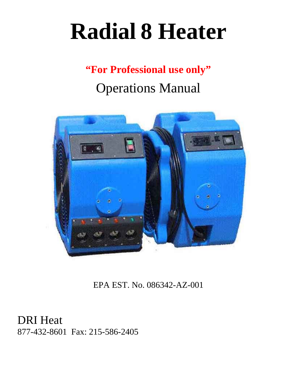# **Radial 8 Heater**

## **"For Professional use only"**

## Operations Manual



EPA EST. No. 086342-AZ-001

DRI Heat 877-432-8601 Fax: 215-586-2405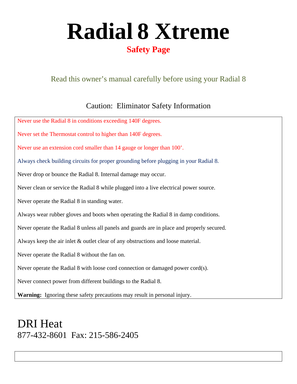# **Radial 8 Xtreme**

## **Safety Page**

## Read this owner's manual carefully before using your Radial 8

## Caution: Eliminator Safety Information

| Never use the Radial 8 in conditions exceeding 140F degrees.                               |
|--------------------------------------------------------------------------------------------|
| Never set the Thermostat control to higher than 140F degrees.                              |
| Never use an extension cord smaller than 14 gauge or longer than 100'.                     |
| Always check building circuits for proper grounding before plugging in your Radial 8.      |
| Never drop or bounce the Radial 8. Internal damage may occur.                              |
| Never clean or service the Radial 8 while plugged into a live electrical power source.     |
| Never operate the Radial 8 in standing water.                                              |
| Always wear rubber gloves and boots when operating the Radial 8 in damp conditions.        |
| Never operate the Radial 8 unless all panels and guards are in place and properly secured. |
| Always keep the air inlet $\&$ outlet clear of any obstructions and loose material.        |
| Never operate the Radial 8 without the fan on.                                             |
| Never operate the Radial 8 with loose cord connection or damaged power cord(s).            |
| Never connect power from different buildings to the Radial 8.                              |
| Warning: Ignoring these safety precautions may result in personal injury.                  |

## DRI Heat 877-432-8601 Fax: 215-586-2405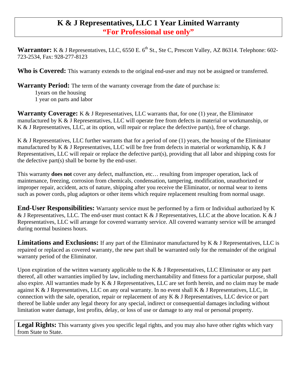### **K & J Representatives, LLC 1 Year Limited Warranty "For Professional use only"**

**Warrantor:** K & J Representatives, LLC, 6550 E. 6<sup>th</sup> St., Ste C, Prescott Valley, AZ 86314. Telephone: 602-723-2534, Fax: 928-277-8123

Who is Covered: This warranty extends to the original end-user and may not be assigned or transferred.

**Warranty Period:** The term of the warranty coverage from the date of purchase is:

 1years on the housing 1 year on parts and labor

Warranty Coverage: K & J Representatives, LLC warrants that, for one (1) year, the Eliminator manufactured by K & J Representatives, LLC will operate free from defects in material or workmanship, or K & J Representatives, LLC, at its option, will repair or replace the defective part(s), free of charge.

K & J Representatives, LLC further warrants that for a period of one (1) years, the housing of the Eliminator manufactured by K & J Representatives, LLC will be free from defects in material or workmanship, K & J Representatives, LLC will repair or replace the defective part(s), providing that all labor and shipping costs for the defective part(s) shall be borne by the end-user.

This warranty **does not** cover any defect, malfunction, etc… resulting from improper operation, lack of maintenance, freezing, corrosion from chemicals, condensation, tampering, modification, unauthorized or improper repair, accident, acts of nature, shipping after you receive the Eliminator, or normal wear to items such as power cords, plug adaptors or other items which require replacement resulting from normal usage.

**End-User Responsibilities:** Warranty service must be performed by a firm or Individual authorized by K & J Representatives, LLC. The end-user must contact K & J Representatives, LLC at the above location. K & J Representatives, LLC will arrange for covered warranty service. All covered warranty service will be arranged during normal business hours.

**Limitations and Exclusions:** If any part of the Eliminator manufactured by K & J Representatives, LLC is repaired or replaced as covered warranty, the new part shall be warranted only for the remainder of the original warranty period of the Eliminator.

Upon expiration of the written warranty applicable to the K & J Representatives, LLC Eliminator or any part thereof, all other warranties implied by law, including merchantability and fitness for a particular purpose, shall also expire. All warranties made by K & J Representatives, LLC are set forth herein, and no claim may be made against K & J Representatives, LLC on any oral warranty. In no event shall K & J Representatives, LLC, in connection with the sale, operation, repair or replacement of any K & J Representatives, LLC device or part thereof be liable under any legal theory for any special, indirect or consequential damages including without limitation water damage, lost profits, delay, or loss of use or damage to any real or personal property.

Legal Rights: This warranty gives you specific legal rights, and you may also have other rights which vary from State to State.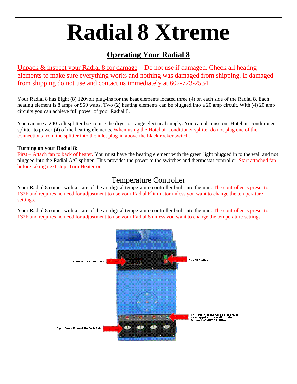# **Radial 8 Xtreme**

## **Operating Your Radial 8**

Unpack & inspect your Radial 8 for damage – Do not use if damaged. Check all heating elements to make sure everything works and nothing was damaged from shipping. If damaged from shipping do not use and contact us immediately at 602-723-2534.

Your Radial 8 has Eight (8) 120volt plug-ins for the heat elements located three (4) on each side of the Radial 8. Each heating element is 8 amps or 960 watts. Two (2) heating elements can be plugged into a 20 amp circuit. With (4) 20 amp circuits you can achieve full power of your Radial 8.

You can use a 240 volt splitter box to use the dryer or range electrical supply. You can also use our Hotel air conditioner splitter to power (4) of the heating elements. When using the Hotel air conditioner splitter do not plug one of the connections from the splitter into the inlet plug-in above the black rocker switch.

#### **Turning on your Radial 8:**

First – Attach fan to back of heater. You must have the heating element with the green light plugged in to the wall and not plugged into the Radial A/C splitter. This provides the power to the switches and thermostat controller. Start attached fan before taking next step. Turn Heater on.

### Temperature Controller

Your Radial 8 comes with a state of the art digital temperature controller built into the unit. The controller is preset to 132F and requires no need for adjustment to use your Radial Eliminator unless you want to change the temperature settings.

Your Radial 8 comes with a state of the art digital temperature controller built into the unit. The controller is preset to 132F and requires no need for adjustment to use your Radial 8 unless you want to change the temperature settings.